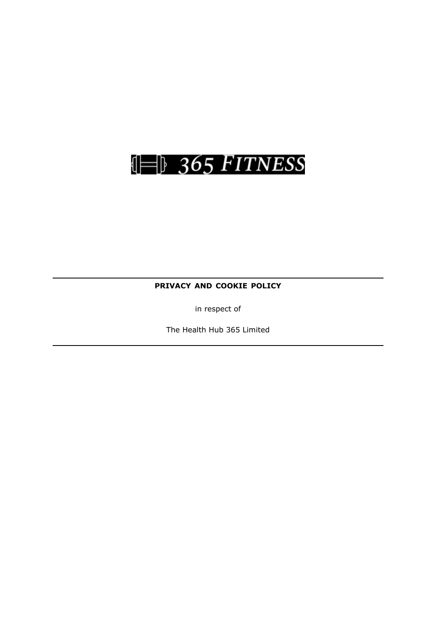

**PRIVACY AND COOKIE POLICY**

in respect of

The Health Hub 365 Limited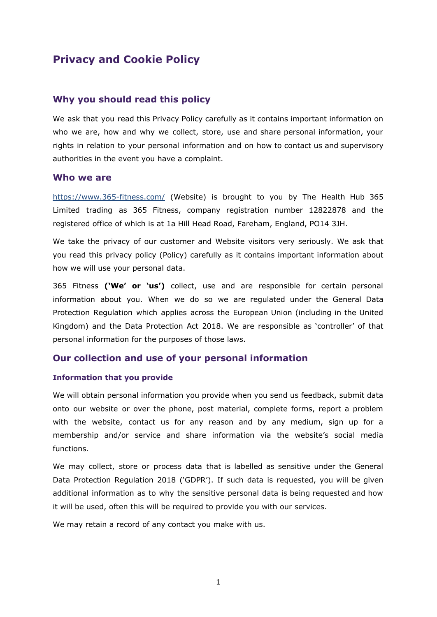# **Privacy and Cookie Policy**

### **Why you should read this policy**

We ask that you read this Privacy Policy carefully as it contains important information on who we are, how and why we collect, store, use and share personal information, your rights in relation to your personal information and on how to contact us and supervisory authorities in the event you have a complaint.

#### **Who we are**

<https://www.365-fitness.com/> (Website) is brought to you by The Health Hub 365 Limited trading as 365 Fitness, company registration number 12822878 and the registered office of which is at 1a Hill Head Road, Fareham, England, PO14 3JH.

We take the privacy of our customer and Website visitors very seriously. We ask that you read this privacy policy (Policy) carefully as it contains important information about how we will use your personal data.

365 Fitness **('We' or 'us')** collect, use and are responsible for certain personal information about you. When we do so we are regulated under the General Data Protection Regulation which applies across the European Union (including in the United Kingdom) and the Data Protection Act 2018. We are responsible as 'controller' of that personal information for the purposes of those laws.

#### **Our collection and use of your personal information**

#### **Information that you provide**

We will obtain personal information you provide when you send us feedback, submit data onto our website or over the phone, post material, complete forms, report a problem with the website, contact us for any reason and by any medium, sign up for a membership and/or service and share information via the website's social media functions.

We may collect, store or process data that is labelled as sensitive under the General Data Protection Regulation 2018 ('GDPR'). If such data is requested, you will be given additional information as to why the sensitive personal data is being requested and how it will be used, often this will be required to provide you with our services.

We may retain a record of any contact you make with us.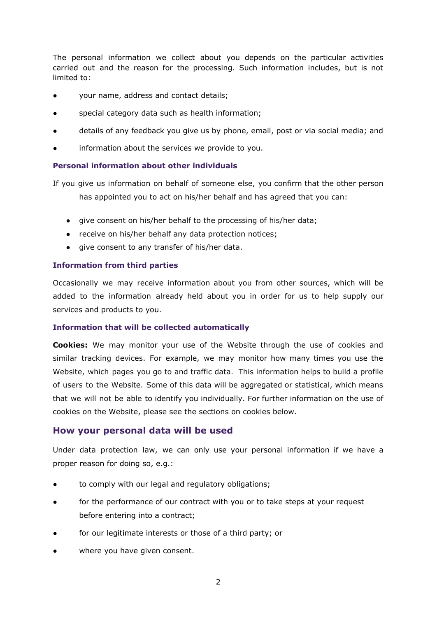The personal information we collect about you depends on the particular activities carried out and the reason for the processing. Such information includes, but is not limited to:

- your name, address and contact details;
- special category data such as health information;
- details of any feedback you give us by phone, email, post or via social media; and
- information about the services we provide to you.

### **Personal information about other individuals**

If you give us information on behalf of someone else, you confirm that the other person has appointed you to act on his/her behalf and has agreed that you can:

- give consent on his/her behalf to the processing of his/her data;
- receive on his/her behalf any data protection notices;
- give consent to any transfer of his/her data.

### **Information from third parties**

Occasionally we may receive information about you from other sources, which will be added to the information already held about you in order for us to help supply our services and products to you.

### **Information that will be collected automatically**

**Cookies:** We may monitor your use of the Website through the use of cookies and similar tracking devices. For example, we may monitor how many times you use the Website, which pages you go to and traffic data. This information helps to build a profile of users to the Website. Some of this data will be aggregated or statistical, which means that we will not be able to identify you individually. For further information on the use of cookies on the Website, please see the sections on cookies below.

### **How your personal data will be used**

Under data protection law, we can only use your personal information if we have a proper reason for doing so, e.g.:

- to comply with our legal and regulatory obligations;
- for the performance of our contract with you or to take steps at your request before entering into a contract;
- for our legitimate interests or those of a third party; or
- where you have given consent.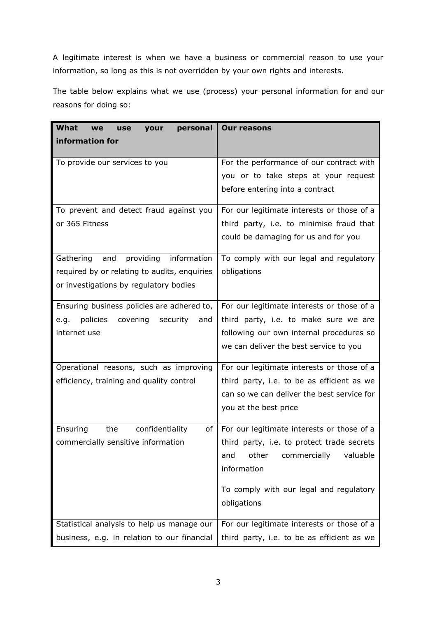A legitimate interest is when we have a business or commercial reason to use your information, so long as this is not overridden by your own rights and interests.

The table below explains what we use (process) your personal information for and our reasons for doing so:

| What<br>personal<br>your<br>we<br>use        | <b>Our reasons</b>                         |
|----------------------------------------------|--------------------------------------------|
| information for                              |                                            |
| To provide our services to you               | For the performance of our contract with   |
|                                              | you or to take steps at your request       |
|                                              | before entering into a contract            |
| To prevent and detect fraud against you      | For our legitimate interests or those of a |
| or 365 Fitness                               | third party, i.e. to minimise fraud that   |
|                                              | could be damaging for us and for you       |
| providing information<br>Gathering and       | To comply with our legal and regulatory    |
| required by or relating to audits, enquiries | obligations                                |
| or investigations by regulatory bodies       |                                            |
| Ensuring business policies are adhered to,   | For our legitimate interests or those of a |
| e.g. policies covering<br>security<br>and    | third party, i.e. to make sure we are      |
| internet use                                 | following our own internal procedures so   |
|                                              | we can deliver the best service to you     |
| Operational reasons, such as improving       | For our legitimate interests or those of a |
| efficiency, training and quality control     | third party, i.e. to be as efficient as we |
|                                              | can so we can deliver the best service for |
|                                              | you at the best price                      |
| Ensuring<br>the<br>confidentiality<br>of     | For our legitimate interests or those of a |
| commercially sensitive information           | third party, i.e. to protect trade secrets |
|                                              | other<br>commercially<br>valuable<br>and   |
|                                              | information                                |
|                                              | To comply with our legal and regulatory    |
|                                              | obligations                                |
| Statistical analysis to help us manage our   | For our legitimate interests or those of a |
| business, e.g. in relation to our financial  | third party, i.e. to be as efficient as we |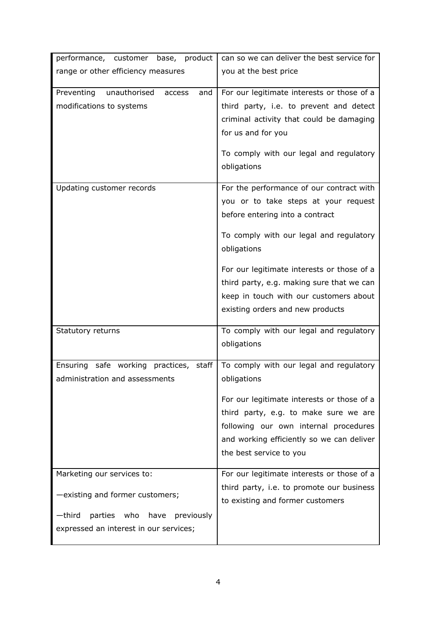| performance, customer base, product<br>range or other efficiency measures                                                                        | can so we can deliver the best service for<br>you at the best price                                                                                                                                                                                                                                                                                    |
|--------------------------------------------------------------------------------------------------------------------------------------------------|--------------------------------------------------------------------------------------------------------------------------------------------------------------------------------------------------------------------------------------------------------------------------------------------------------------------------------------------------------|
|                                                                                                                                                  |                                                                                                                                                                                                                                                                                                                                                        |
| Preventing<br>unauthorised<br>and<br>access<br>modifications to systems                                                                          | For our legitimate interests or those of a<br>third party, i.e. to prevent and detect<br>criminal activity that could be damaging<br>for us and for you<br>To comply with our legal and regulatory<br>obligations                                                                                                                                      |
| Updating customer records                                                                                                                        | For the performance of our contract with<br>you or to take steps at your request<br>before entering into a contract<br>To comply with our legal and regulatory<br>obligations<br>For our legitimate interests or those of a<br>third party, e.g. making sure that we can<br>keep in touch with our customers about<br>existing orders and new products |
| Statutory returns                                                                                                                                | To comply with our legal and regulatory<br>obligations                                                                                                                                                                                                                                                                                                 |
| Ensuring safe working practices, staff<br>administration and assessments                                                                         | To comply with our legal and regulatory<br>obligations<br>For our legitimate interests or those of a<br>third party, e.g. to make sure we are<br>following our own internal procedures<br>and working efficiently so we can deliver<br>the best service to you                                                                                         |
| Marketing our services to:<br>-existing and former customers;<br>-third<br>parties who have previously<br>expressed an interest in our services; | For our legitimate interests or those of a<br>third party, i.e. to promote our business<br>to existing and former customers                                                                                                                                                                                                                            |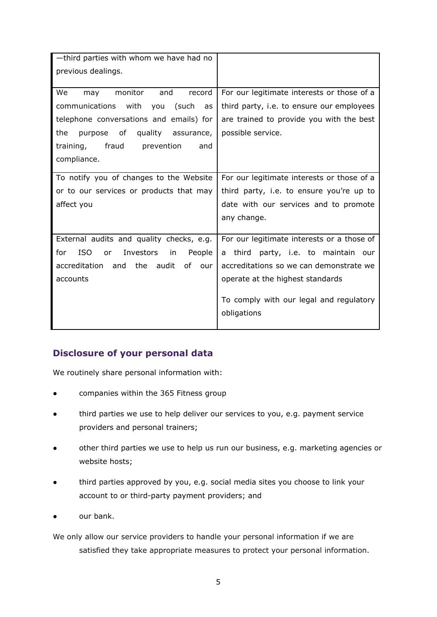| -third parties with whom we have had no              |                                                        |
|------------------------------------------------------|--------------------------------------------------------|
| previous dealings.                                   |                                                        |
| We<br>monitor<br>and<br>record<br>may                | For our legitimate interests or those of a             |
| communications<br>with<br>(such<br>you<br>as         | third party, i.e. to ensure our employees              |
| telephone conversations and emails) for              | are trained to provide you with the best               |
| the<br>purpose of quality assurance,                 | possible service.                                      |
| fraud<br>prevention<br>training,<br>and              |                                                        |
| compliance.                                          |                                                        |
| To notify you of changes to the Website              | For our legitimate interests or those of a             |
| or to our services or products that may              | third party, i.e. to ensure you're up to               |
|                                                      |                                                        |
| affect you                                           | date with our services and to promote                  |
|                                                      | any change.                                            |
| External audits and quality checks, e.g.             | For our legitimate interests or a those of             |
| <b>ISO</b><br>Investors<br>for<br>in<br>People<br>or | a third party, i.e. to maintain our                    |
| accreditation<br>the<br>audit<br>and<br>of our       | accreditations so we can demonstrate we                |
| accounts                                             | operate at the highest standards                       |
|                                                      | To comply with our legal and regulatory<br>obligations |

# **Disclosure of your personal data**

We routinely share personal information with:

- companies within the 365 Fitness group
- third parties we use to help deliver our services to you, e.g. payment service providers and personal trainers;
- other third parties we use to help us run our business, e.g. marketing agencies or website hosts;
- third parties approved by you, e.g. social media sites you choose to link your account to or third-party payment providers; and
- our bank.

We only allow our service providers to handle your personal information if we are satisfied they take appropriate measures to protect your personal information.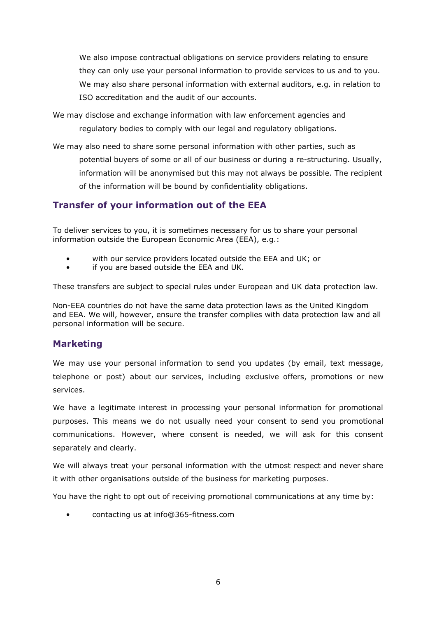We also impose contractual obligations on service providers relating to ensure they can only use your personal information to provide services to us and to you. We may also share personal information with external auditors, e.g. in relation to ISO accreditation and the audit of our accounts.

We may disclose and exchange information with law enforcement agencies and regulatory bodies to comply with our legal and regulatory obligations.

We may also need to share some personal information with other parties, such as

potential buyers of some or all of our business or during a re-structuring. Usually, information will be anonymised but this may not always be possible. The recipient of the information will be bound by confidentiality obligations.

# **Transfer of your information out of the EEA**

To deliver services to you, it is sometimes necessary for us to share your personal information outside the European Economic Area (EEA), e.g.:

- with our service providers located outside the EEA and UK; or
- if you are based outside the EEA and UK.

These transfers are subject to special rules under European and UK data protection law.

Non-EEA countries do not have the same data protection laws as the United Kingdom and EEA. We will, however, ensure the transfer complies with data protection law and all personal information will be secure.

# **Marketing**

We may use your personal information to send you updates (by email, text message, telephone or post) about our services, including exclusive offers, promotions or new services.

We have a legitimate interest in processing your personal information for promotional purposes. This means we do not usually need your consent to send you promotional communications. However, where consent is needed, we will ask for this consent separately and clearly.

We will always treat your personal information with the utmost respect and never share it with other organisations outside of the business for marketing purposes.

You have the right to opt out of receiving promotional communications at any time by:

• contacting us at info@365-fitness.com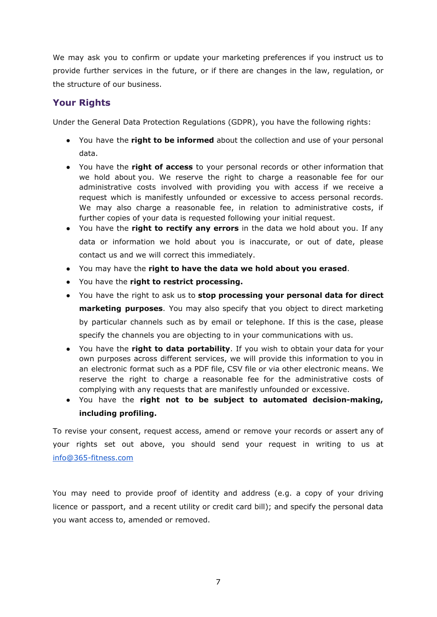We may ask you to confirm or update your marketing preferences if you instruct us to provide further services in the future, or if there are changes in the law, regulation, or the structure of our business.

# **Your Rights**

Under the General Data Protection Regulations (GDPR), you have the following rights:

- You have the **right to be informed** about the collection and use of your personal data.
- You have the **right of access** to your personal records or other information that we hold about you. We reserve the right to charge a reasonable fee for our administrative costs involved with providing you with access if we receive a request which is manifestly unfounded or excessive to access personal records. We may also charge a reasonable fee, in relation to administrative costs, if further copies of your data is requested following your initial request.
- You have the **right to rectify any errors** in the data we hold about you. If any data or information we hold about you is inaccurate, or out of date, please contact us and we will correct this immediately.
- You may have the **right to have the data we hold about you erased**.
- You have the **right to restrict processing.**
- You have the right to ask us to **stop processing your personal data for direct marketing purposes**. You may also specify that you object to direct marketing by particular channels such as by email or telephone. If this is the case, please specify the channels you are objecting to in your communications with us.
- You have the **right to data portability**. If you wish to obtain your data for your own purposes across different services, we will provide this information to you in an electronic format such as a PDF file, CSV file or via other electronic means. We reserve the right to charge a reasonable fee for the administrative costs of complying with any requests that are manifestly unfounded or excessive.
- You have the **right not to be subject to automated decision-making, including profiling.**

To revise your consent, request access, amend or remove your records or assert any of your rights set out above, you should send your request in writing to us at [info@365-fitness.com](mailto:info@365-fitness.com)

You may need to provide proof of identity and address (e.g. a copy of your driving licence or passport, and a recent utility or credit card bill); and specify the personal data you want access to, amended or removed.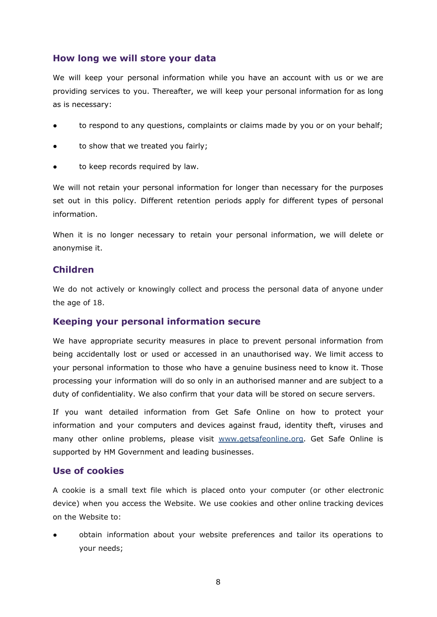## **How long we will store your data**

We will keep your personal information while you have an account with us or we are providing services to you. Thereafter, we will keep your personal information for as long as is necessary:

- to respond to any questions, complaints or claims made by you or on your behalf;
- to show that we treated you fairly;
- to keep records required by law.

We will not retain your personal information for longer than necessary for the purposes set out in this policy. Different retention periods apply for different types of personal information.

When it is no longer necessary to retain your personal information, we will delete or anonymise it.

## **Children**

We do not actively or knowingly collect and process the personal data of anyone under the age of 18.

### **Keeping your personal information secure**

We have appropriate security measures in place to prevent personal information from being accidentally lost or used or accessed in an unauthorised way. We limit access to your personal information to those who have a genuine business need to know it. Those processing your information will do so only in an authorised manner and are subject to a duty of confidentiality. We also confirm that your data will be stored on secure servers.

If you want detailed information from Get Safe Online on how to protect your information and your computers and devices against fraud, identity theft, viruses and many other online problems, please visit [www.getsafeonline.org.](http://www.getsafeonline.org/) Get Safe Online is supported by HM Government and leading businesses.

### **Use of cookies**

A cookie is a small text file which is placed onto your computer (or other electronic device) when you access the Website. We use cookies and other online tracking devices on the Website to:

obtain information about your website preferences and tailor its operations to your needs;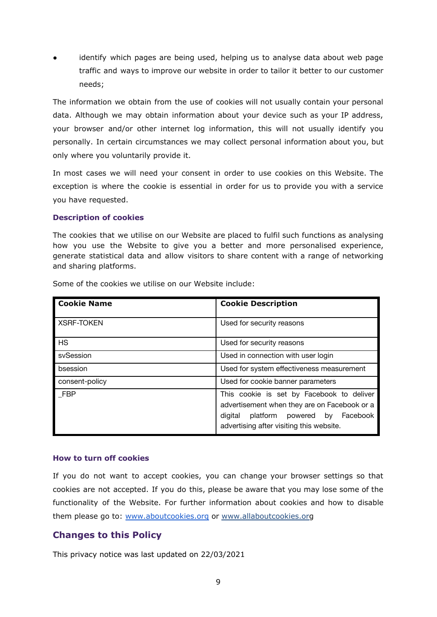identify which pages are being used, helping us to analyse data about web page traffic and ways to improve our website in order to tailor it better to our customer needs;

The information we obtain from the use of cookies will not usually contain your personal data. Although we may obtain information about your device such as your IP address, your browser and/or other internet log information, this will not usually identify you personally. In certain circumstances we may collect personal information about you, but only where you voluntarily provide it.

In most cases we will need your consent in order to use cookies on this Website. The exception is where the cookie is essential in order for us to provide you with a service you have requested.

#### **Description of cookies**

The cookies that we utilise on our Website are placed to fulfil such functions as analysing how you use the Website to give you a better and more personalised experience, generate statistical data and allow visitors to share content with a range of networking and sharing platforms.

| <b>Cookie Name</b> | <b>Cookie Description</b>                                                                                                                                                     |
|--------------------|-------------------------------------------------------------------------------------------------------------------------------------------------------------------------------|
| <b>XSRF-TOKEN</b>  | Used for security reasons                                                                                                                                                     |
| <b>HS</b>          | Used for security reasons                                                                                                                                                     |
| sySession          | Used in connection with user login                                                                                                                                            |
| bsession           | Used for system effectiveness measurement                                                                                                                                     |
| consent-policy     | Used for cookie banner parameters                                                                                                                                             |
| FBP                | This cookie is set by Facebook to deliver<br>advertisement when they are on Facebook or a<br>digital platform powered by Facebook<br>advertising after visiting this website. |

Some of the cookies we utilise on our Website include:

#### **How to turn off cookies**

If you do not want to accept cookies, you can change your browser settings so that cookies are not accepted. If you do this, please be aware that you may lose some of the functionality of the Website. For further information about cookies and how to disable them please go to: [www.aboutcookies.org](http://www.aboutcookies.org) or [www.allaboutcookies.org](http://www.allaboutcookies.org)

# **Changes to this Policy**

This privacy notice was last updated on 22/03/2021